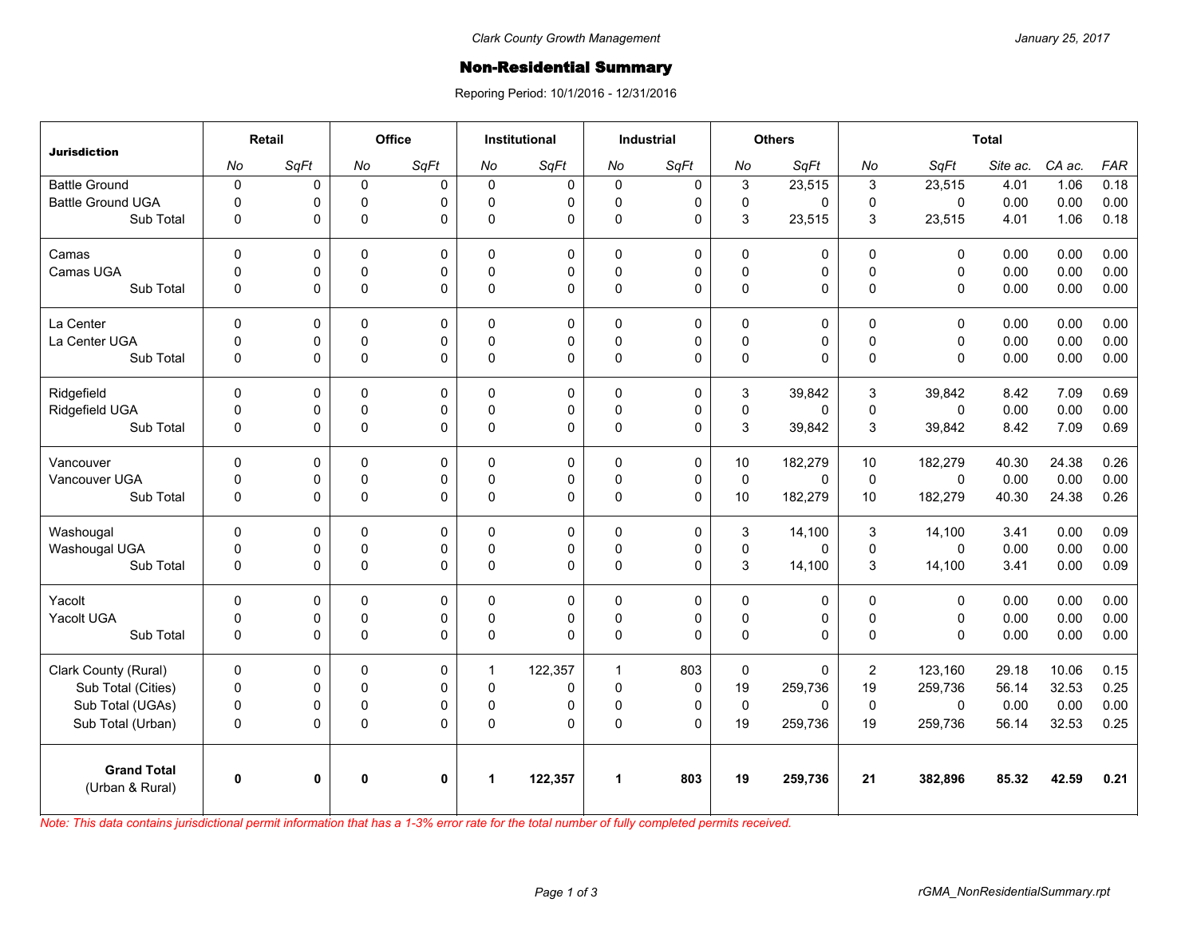## Non-Residential Summary

Reporing Period: 10/1/2016 - 12/31/2016

| <b>Jurisdiction</b>                   | Retail      |              | <b>Office</b> |              | <b>Institutional</b> |          | <b>Industrial</b>    |             | <b>Others</b> |          | <b>Total</b>   |              |          |        |            |
|---------------------------------------|-------------|--------------|---------------|--------------|----------------------|----------|----------------------|-------------|---------------|----------|----------------|--------------|----------|--------|------------|
|                                       | No          | SqFt         | No            | SqFt         | No                   | SqFt     | No                   | SqFt        | No            | SqFt     | No             | SqFt         | Site ac. | CA ac. | <b>FAR</b> |
| <b>Battle Ground</b>                  | $\pmb{0}$   | 0            | $\mathbf 0$   | $\mathbf 0$  | $\Omega$             | 0        | $\mathbf 0$          | 0           | 3             | 23,515   | 3              | 23,515       | 4.01     | 1.06   | 0.18       |
| <b>Battle Ground UGA</b>              | $\Omega$    | 0            | $\Omega$      | 0            | $\Omega$             | 0        | $\mathbf 0$          | $\mathbf 0$ | 0             | 0        | $\mathbf{0}$   | $\mathbf 0$  | 0.00     | 0.00   | 0.00       |
| Sub Total                             | $\mathbf 0$ | 0            | $\mathbf 0$   | $\Omega$     | $\Omega$             | 0        | 0                    | $\mathbf 0$ | 3             | 23,515   | 3              | 23,515       | 4.01     | 1.06   | 0.18       |
| Camas                                 | $\mathbf 0$ | 0            | 0             | 0            | $\Omega$             | 0        | $\mathbf 0$          | $\pmb{0}$   | 0             | 0        | $\mathbf 0$    | $\mathbf 0$  | 0.00     | 0.00   | 0.00       |
| Camas UGA                             | $\mathbf 0$ | 0            | $\mathbf 0$   | $\mathbf 0$  | $\Omega$             | 0        | $\mathbf 0$          | $\pmb{0}$   | $\pmb{0}$     | 0        | $\Omega$       | $\mathbf 0$  | 0.00     | 0.00   | 0.00       |
| Sub Total                             | $\mathbf 0$ | 0            | 0             | $\mathbf 0$  | $\Omega$             | 0        | 0                    | $\mathbf 0$ | 0             | 0        | $\Omega$       | $\mathbf 0$  | 0.00     | 0.00   | 0.00       |
| La Center                             | $\Omega$    | 0            | $\Omega$      | $\mathbf 0$  | $\Omega$             | 0        | $\mathbf 0$          | $\mathbf 0$ | 0             | 0        | $\mathbf{0}$   | $\mathbf{0}$ | 0.00     | 0.00   | 0.00       |
| La Center UGA                         | $\mathbf 0$ | 0            | 0             | $\pmb{0}$    | $\Omega$             | 0        | 0                    | $\pmb{0}$   | $\mathsf 0$   | 0        | $\Omega$       | $\mathbf 0$  | 0.00     | 0.00   | 0.00       |
| Sub Total                             | $\Omega$    | 0            | $\mathbf 0$   | $\Omega$     | $\Omega$             | 0        | $\Omega$             | $\Omega$    | 0             | $\Omega$ | $\Omega$       | $\Omega$     | 0.00     | 0.00   | 0.00       |
| Ridgefield                            | $\Omega$    | 0            | $\Omega$      | $\mathbf 0$  | $\Omega$             | 0        | $\mathbf{0}$         | $\mathbf 0$ | 3             | 39,842   | 3              | 39,842       | 8.42     | 7.09   | 0.69       |
| Ridgefield UGA                        | $\mathbf 0$ | 0            | $\mathbf 0$   | $\pmb{0}$    | $\mathbf 0$          | 0        | 0                    | $\pmb{0}$   | $\pmb{0}$     | 0        | $\mathbf 0$    | $\mathbf{0}$ | 0.00     | 0.00   | 0.00       |
| Sub Total                             | $\Omega$    | 0            | 0             | $\Omega$     | $\Omega$             | 0        | $\mathbf 0$          | $\Omega$    | 3             | 39,842   | 3              | 39,842       | 8.42     | 7.09   | 0.69       |
| Vancouver                             | $\Omega$    | 0            | $\Omega$      | $\mathbf 0$  | $\Omega$             | 0        | $\mathbf{0}$         | $\mathbf 0$ | 10            | 182,279  | 10             | 182,279      | 40.30    | 24.38  | 0.26       |
| Vancouver UGA                         | $\mathbf 0$ | 0            | 0             | $\mathbf 0$  | $\mathbf{0}$         | 0        | 0                    | $\pmb{0}$   | $\pmb{0}$     | $\Omega$ | $\mathbf 0$    | $\mathbf 0$  | 0.00     | 0.00   | 0.00       |
| Sub Total                             | $\mathbf 0$ | 0            | $\mathbf 0$   | $\mathbf 0$  | $\Omega$             | 0        | 0                    | $\mathbf 0$ | 10            | 182,279  | 10             | 182,279      | 40.30    | 24.38  | 0.26       |
| Washougal                             | $\mathbf 0$ | 0            | 0             | $\mathbf 0$  | $\Omega$             | 0        | $\mathbf 0$          | $\pmb{0}$   | 3             | 14,100   | 3              | 14,100       | 3.41     | 0.00   | 0.09       |
| Washougal UGA                         | $\mathbf 0$ | 0            | 0             | 0            | $\Omega$             | 0        | 0                    | $\mathbf 0$ | $\mathbf 0$   | 0        | $\mathbf 0$    | $\mathbf{0}$ | 0.00     | 0.00   | 0.00       |
| Sub Total                             | $\mathbf 0$ | 0            | 0             | $\pmb{0}$    | 0                    | 0        | 0                    | $\pmb{0}$   | 3             | 14,100   | 3              | 14,100       | 3.41     | 0.00   | 0.09       |
| Yacolt                                | $\mathbf 0$ | 0            | $\Omega$      | $\mathbf 0$  | $\Omega$             | 0        | $\mathbf 0$          | $\mathbf 0$ | 0             | 0        | $\mathbf{0}$   | $\mathbf 0$  | 0.00     | 0.00   | 0.00       |
| Yacolt UGA                            | $\mathbf 0$ | 0            | 0             | $\mathbf 0$  | $\Omega$             | 0        | 0                    | $\mathbf 0$ | 0             | 0        | $\mathbf{0}$   | $\Omega$     | 0.00     | 0.00   | 0.00       |
| Sub Total                             | $\Omega$    | 0            | $\mathbf 0$   | $\Omega$     | $\Omega$             | $\Omega$ | $\Omega$             | $\Omega$    | 0             | $\Omega$ | $\Omega$       | $\Omega$     | 0.00     | 0.00   | 0.00       |
| Clark County (Rural)                  | $\mathbf 0$ | 0            | $\Omega$      | $\mathbf 0$  | 1                    | 122,357  | $\mathbf{1}$         | 803         | $\mathbf 0$   | 0        | $\overline{2}$ | 123,160      | 29.18    | 10.06  | 0.15       |
| Sub Total (Cities)                    | $\pmb{0}$   | 0            | 0             | $\mathbf 0$  | $\mathbf{0}$         | 0        | 0                    | $\mathbf 0$ | 19            | 259,736  | 19             | 259,736      | 56.14    | 32.53  | 0.25       |
| Sub Total (UGAs)                      | $\mathbf 0$ | 0            | 0             | $\mathbf 0$  | $\Omega$             | 0        | 0                    | $\mathbf 0$ | $\mathbf 0$   | 0        | $\mathbf 0$    | $\mathbf{0}$ | 0.00     | 0.00   | 0.00       |
| Sub Total (Urban)                     | $\pmb{0}$   | 0            | 0             | $\Omega$     | $\Omega$             | 0        | 0                    | $\Omega$    | 19            | 259,736  | 19             | 259,736      | 56.14    | 32.53  | 0.25       |
| <b>Grand Total</b><br>(Urban & Rural) | $\mathbf 0$ | $\mathbf{0}$ | $\mathbf{0}$  | $\mathbf{0}$ |                      | 122,357  | $\blacktriangleleft$ | 803         | 19            | 259,736  | 21             | 382,896      | 85.32    | 42.59  | 0.21       |

*Note: This data contains jurisdictional permit information that has a 1-3% error rate for the total number of fully completed permits received.*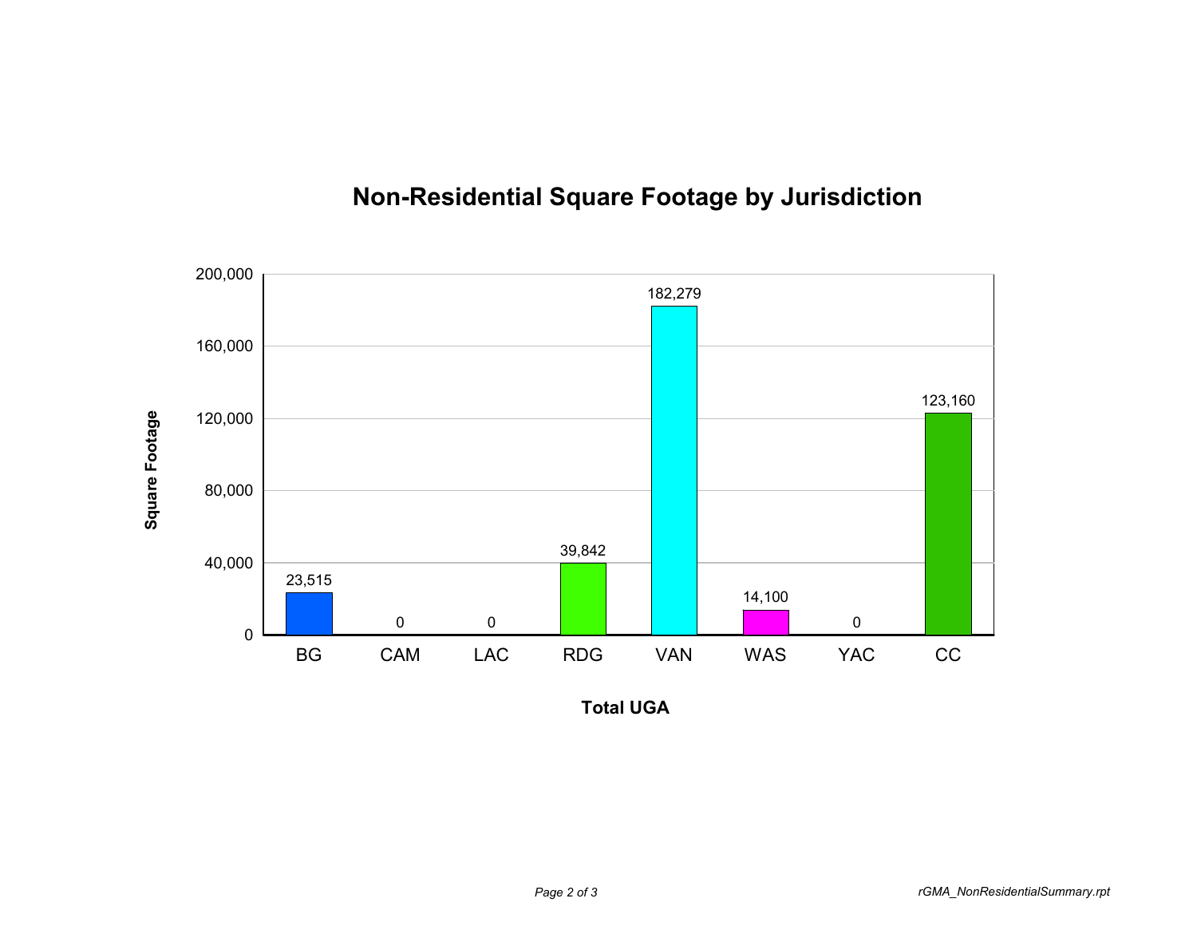

## **Non-Residential Square Footage by Jurisdiction**

**Total UGA**